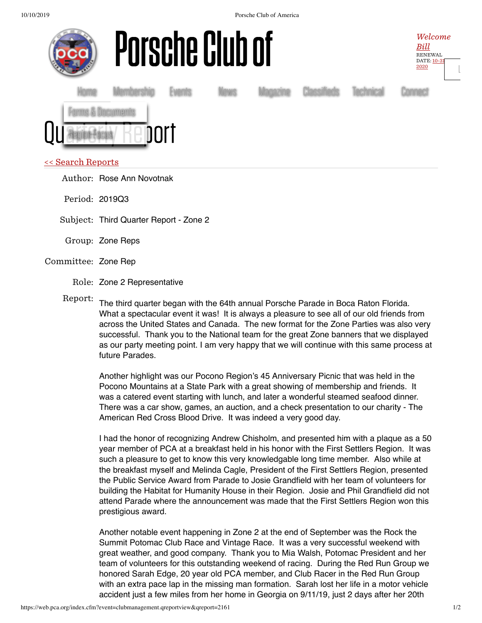

Author: Rose Ann Novotnak

Period: 2019Q3

Subject: Third Quarter Report - Zone 2

- Group: Zone Reps
- Committee: Zone Rep
	- Role: Zone 2 Representative

Report: The third quarter began with the 64th annual Porsche Parade in Boca Raton Florida. What a spectacular event it was! It is always a pleasure to see all of our old friends from across the United States and Canada. The new format for the Zone Parties was also very successful. Thank you to the National team for the great Zone banners that we displayed as our party meeting point. I am very happy that we will continue with this same process at future Parades.

Another highlight was our Pocono Region's 45 Anniversary Picnic that was held in the Pocono Mountains at a State Park with a great showing of membership and friends. It was a catered event starting with lunch, and later a wonderful steamed seafood dinner. There was a car show, games, an auction, and a check presentation to our charity - The American Red Cross Blood Drive. It was indeed a very good day.

I had the honor of recognizing Andrew Chisholm, and presented him with a plaque as a 50 year member of PCA at a breakfast held in his honor with the First Settlers Region. It was such a pleasure to get to know this very knowledgable long time member. Also while at the breakfast myself and Melinda Cagle, President of the First Settlers Region, presented the Public Service Award from Parade to Josie Grandfield with her team of volunteers for building the Habitat for Humanity House in their Region. Josie and Phil Grandfield did not attend Parade where the announcement was made that the First Settlers Region won this prestigious award.

Another notable event happening in Zone 2 at the end of September was the Rock the Summit Potomac Club Race and Vintage Race. It was a very successful weekend with great weather, and good company. Thank you to Mia Walsh, Potomac President and her team of volunteers for this outstanding weekend of racing. During the Red Run Group we honored Sarah Edge, 20 year old PCA member, and Club Racer in the Red Run Group with an extra pace lap in the missing man formation. Sarah lost her life in a motor vehicle accident just a few miles from her home in Georgia on 9/11/19, just 2 days after her 20th